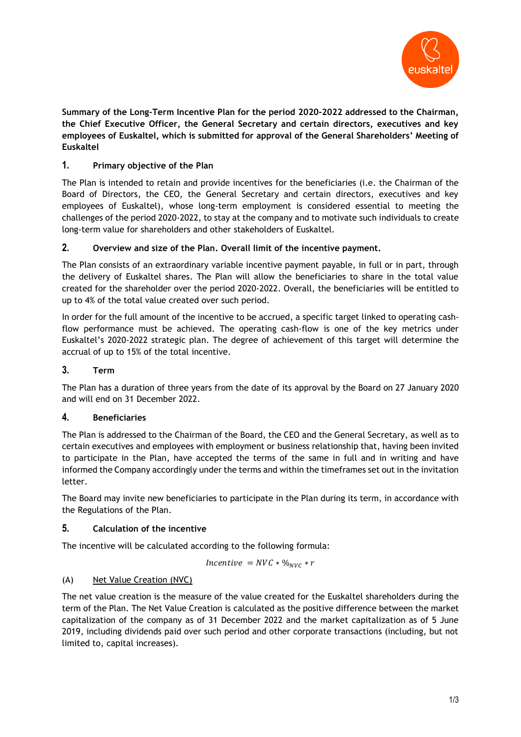

**Summary of the Long-Term Incentive Plan for the period 2020-2022 addressed to the Chairman, the Chief Executive Officer, the General Secretary and certain directors, executives and key employees of Euskaltel, which is submitted for approval of the General Shareholders' Meeting of Euskaltel**

# **1. Primary objective of the Plan**

The Plan is intended to retain and provide incentives for the beneficiaries (i.e. the Chairman of the Board of Directors, the CEO, the General Secretary and certain directors, executives and key employees of Euskaltel), whose long-term employment is considered essential to meeting the challenges of the period 2020-2022, to stay at the company and to motivate such individuals to create long-term value for shareholders and other stakeholders of Euskaltel.

## **2. Overview and size of the Plan. Overall limit of the incentive payment.**

The Plan consists of an extraordinary variable incentive payment payable, in full or in part, through the delivery of Euskaltel shares. The Plan will allow the beneficiaries to share in the total value created for the shareholder over the period 2020-2022. Overall, the beneficiaries will be entitled to up to 4% of the total value created over such period.

In order for the full amount of the incentive to be accrued, a specific target linked to operating cashflow performance must be achieved. The operating cash-flow is one of the key metrics under Euskaltel's 2020-2022 strategic plan. The degree of achievement of this target will determine the accrual of up to 15% of the total incentive.

## **3. Term**

The Plan has a duration of three years from the date of its approval by the Board on 27 January 2020 and will end on 31 December 2022.

## **4. Beneficiaries**

The Plan is addressed to the Chairman of the Board, the CEO and the General Secretary, as well as to certain executives and employees with employment or business relationship that, having been invited to participate in the Plan, have accepted the terms of the same in full and in writing and have informed the Company accordingly under the terms and within the timeframes set out in the invitation letter.

The Board may invite new beneficiaries to participate in the Plan during its term, in accordance with the Regulations of the Plan.

## **5. Calculation of the incentive**

The incentive will be calculated according to the following formula:

$$
Incentive = NVC * %_{NVC} * r
$$

# (A) Net Value Creation (NVC)

The net value creation is the measure of the value created for the Euskaltel shareholders during the term of the Plan. The Net Value Creation is calculated as the positive difference between the market capitalization of the company as of 31 December 2022 and the market capitalization as of 5 June 2019, including dividends paid over such period and other corporate transactions (including, but not limited to, capital increases).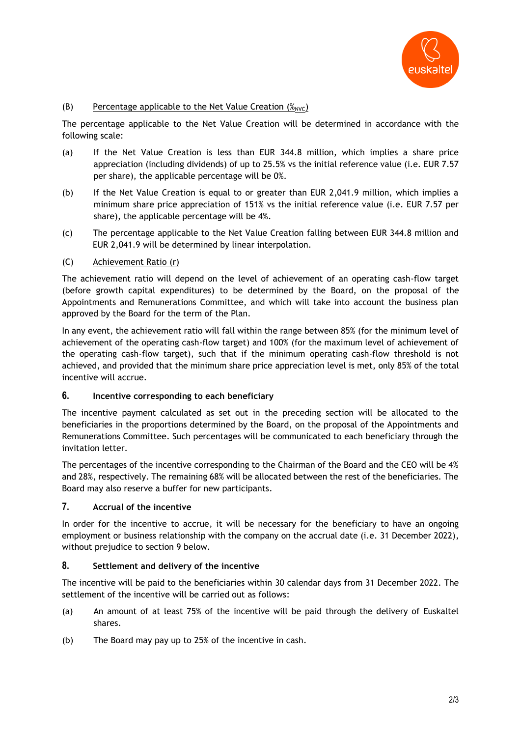

## (B) Percentage applicable to the Net Value Creation  $(\mathscr{X}_{\text{AVC}})$

The percentage applicable to the Net Value Creation will be determined in accordance with the following scale:

- (a) If the Net Value Creation is less than EUR 344.8 million, which implies a share price appreciation (including dividends) of up to 25.5% vs the initial reference value (i.e. EUR 7.57 per share), the applicable percentage will be 0%.
- (b) If the Net Value Creation is equal to or greater than EUR 2,041.9 million, which implies a minimum share price appreciation of 151% vs the initial reference value (i.e. EUR 7.57 per share), the applicable percentage will be 4%.
- (c) The percentage applicable to the Net Value Creation falling between EUR 344.8 million and EUR 2,041.9 will be determined by linear interpolation.

## (C) Achievement Ratio (r)

The achievement ratio will depend on the level of achievement of an operating cash-flow target (before growth capital expenditures) to be determined by the Board, on the proposal of the Appointments and Remunerations Committee, and which will take into account the business plan approved by the Board for the term of the Plan.

In any event, the achievement ratio will fall within the range between 85% (for the minimum level of achievement of the operating cash-flow target) and 100% (for the maximum level of achievement of the operating cash-flow target), such that if the minimum operating cash-flow threshold is not achieved, and provided that the minimum share price appreciation level is met, only 85% of the total incentive will accrue.

## **6. Incentive corresponding to each beneficiary**

The incentive payment calculated as set out in the preceding section will be allocated to the beneficiaries in the proportions determined by the Board, on the proposal of the Appointments and Remunerations Committee. Such percentages will be communicated to each beneficiary through the invitation letter.

The percentages of the incentive corresponding to the Chairman of the Board and the CEO will be 4% and 28%, respectively. The remaining 68% will be allocated between the rest of the beneficiaries. The Board may also reserve a buffer for new participants.

## **7. Accrual of the incentive**

In order for the incentive to accrue, it will be necessary for the beneficiary to have an ongoing employment or business relationship with the company on the accrual date (i.e. 31 December 2022), without prejudice to section 9 below.

#### **8. Settlement and delivery of the incentive**

The incentive will be paid to the beneficiaries within 30 calendar days from 31 December 2022. The settlement of the incentive will be carried out as follows:

- (a) An amount of at least 75% of the incentive will be paid through the delivery of Euskaltel shares.
- (b) The Board may pay up to 25% of the incentive in cash.